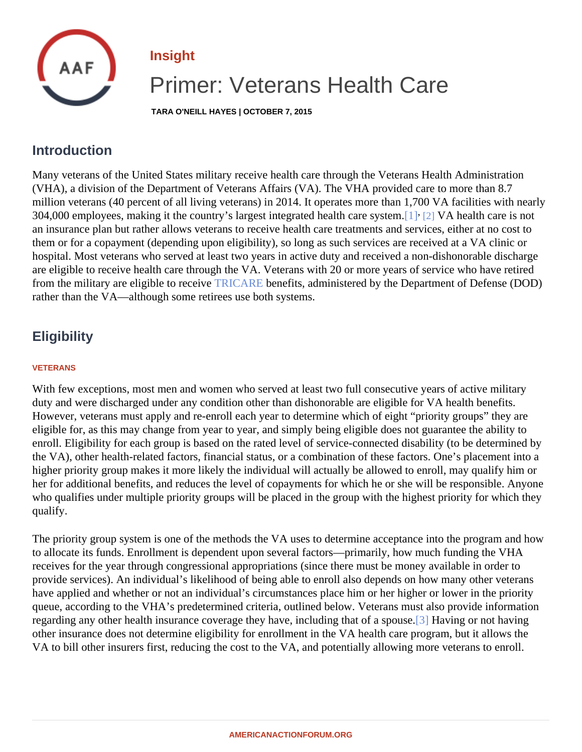## Insight

# Primer: Veterans Health Care

TARA O'NEILL HAYES | OCTOBER 7, 2015

## <span id="page-0-0"></span>**Introduction**

Many veterans of the United States military receive health care through the Veterans Health Administration (VHA), a division of the Department of Veterans Affairs (VA). The VHA provided care to more than 8.7 million veterans (40 percent of all living veterans) in 2014. It operates more than 1,700 VA facilities with nearl 304,000 employees, making it the country's largest integrated health care [sys](#page-4-0)tem/A health care is not an insurance plan but rather allows veterans to receive health care treatments and services, either at no cost them or for a copayment (depending upon eligibility), so long as such services are received at a VA clinic or hospital. Most veterans who served at least two years in active duty and received a non-dishonorable dischar are eligible to receive health care through the VA. Veterans with 20 or more years of service who have retired from the military are eligible to receive RICARE benefits, administered by the Department of Defense (DOD) rather than the VA—although some retirees use both systems.

## **Eligibility**

#### VETERANS

With few exceptions, most men and women who served at least two full consecutive years of active military duty and were discharged under any condition other than dishonorable are eligible for VA health benefits. However, veterans must apply and re-enroll each year to determine which of eight "priority groups" they are eligible for, as this may change from year to year, and simply being eligible does not guarantee the ability to enroll. Eligibility for each group is based on the rated level of service-connected disability (to be determined b the VA), other health-related factors, financial status, or a combination of these factors. One's placement into higher priority group makes it more likely the individual will actually be allowed to enroll, may qualify him or her for additional benefits, and reduces the level of copayments for which he or she will be responsible. Anyo who qualifies under multiple priority groups will be placed in the group with the highest priority for which they qualify.

The priority group system is one of the methods the VA uses to determine acceptance into the program and h to allocate its funds. Enrollment is dependent upon several factors—primarily, how much funding the VHA receives for the year through congressional appropriations (since there must be money available in order to provide services). An individual's likelihood of being able to enroll also depends on how many other veterans have applied and whether or not an individual's circumstances place him or her higher or lower in the priority queue, according to the VHA's predetermined criteria, outlined below. Veterans must also provide information regarding any other health insurance coverage they have, including that of a spot as in not having other insurance does not determine eligibility for enrollment in the VA health care program, but it allows the VA to bill other insurers first, reducing the cost to the VA, and potentially allowing more veterans to enroll.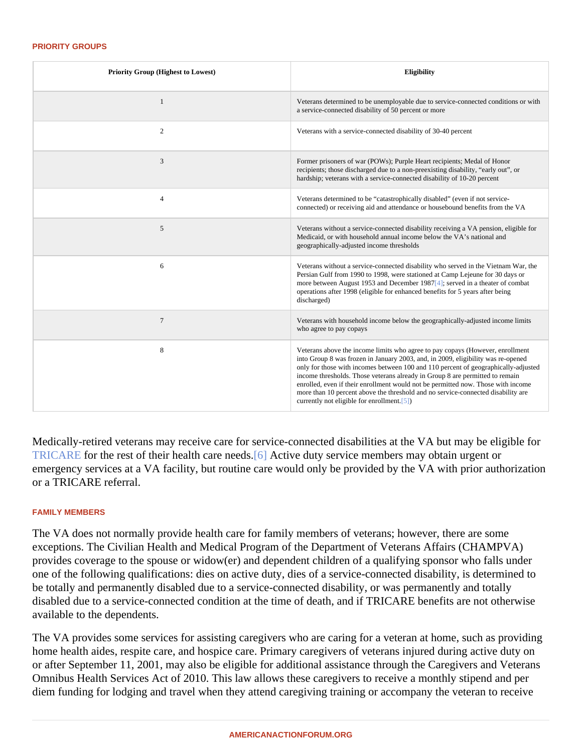#### PRIORITY GROUPS

| Priority Group (Highest to Lowest) | Eligibility                                                                                                                                                                                                                                                                                                                                                                                                                                                                                                                                                |
|------------------------------------|------------------------------------------------------------------------------------------------------------------------------------------------------------------------------------------------------------------------------------------------------------------------------------------------------------------------------------------------------------------------------------------------------------------------------------------------------------------------------------------------------------------------------------------------------------|
| $\mathbf{1}$                       | Veterans determined to be unemployable due to service-connected conditions or with<br>a service-connected disability of 50 percent or more                                                                                                                                                                                                                                                                                                                                                                                                                 |
| $\overline{2}$                     | Veterans with a service-connected disability of 30-40 percent                                                                                                                                                                                                                                                                                                                                                                                                                                                                                              |
| 3                                  | Former prisoners of war (POWs); Purple Heart recipients; Medal of Honor<br>recipients; those discharged due to a non-preexisting disability, "early out", or<br>hardship; veterans with a service-connected disability of 10-20 percent                                                                                                                                                                                                                                                                                                                    |
| 4                                  | Veterans determined to be "catastrophically disabled" (even if not service-<br>connected) or receiving aid and attendance or housebound benefits from the VA                                                                                                                                                                                                                                                                                                                                                                                               |
| 5                                  | Veterans without a service-connected disability receiving a VA pension, eligible for<br>Medicaid, or with household annual income below the VA's national and<br>geographically-adjusted income thresholds                                                                                                                                                                                                                                                                                                                                                 |
| 6                                  | Veterans without a service-connected disability who served in the Vietnam War, the<br>Persian Gulf from 1990 to 1998, were stationed at Camp Lejeune for 30 days or<br>more between August 1953 and December 1988 erved in a theater of combat<br>operations after 1998 (eligible for enhanced benefits for 5 years after being<br>discharged)                                                                                                                                                                                                             |
| $\overline{7}$                     | Veterans with household income below the geographically-adjusted income limits<br>who agree to pay copays                                                                                                                                                                                                                                                                                                                                                                                                                                                  |
| 8                                  | Veterans above the income limits who agree to pay copays (However, enrollment<br>into Group 8 was frozen in January 2003, and, in 2009, eligibility was re-opened<br>only for those with incomes between 100 and 110 percent of geographically-adjusted<br>income thresholds. Those veterans already in Group 8 are permitted to remain<br>enrolled, even if their enrollment would not be permitted now. Those with income<br>more than 10 percent above the threshold and no service-connected disability are<br>currently not eligible for enrollment]) |

Medically-retired veterans may receive care for service-connected disabilities at the VA but may be eligible for [TRICARE](�� h t t p : / / a m e r i c a n a c t i o n f o r u m . o r g / i n s i g h t s / t r i c a r e - t h e - m i l i t a r y s - h e a l t h - c a r e - s y s t e m) for the rest of their health care needs. Active duty service members may obtain urgent or emergency services at a VA facility, but routine care would only be provided by the VA with prior authorization or a TRICARE referral.

#### FAMILY MEMBERS

The VA does not normally provide health care for family members of veterans; however, there are some exceptions. The Civilian Health and Medical Program of the Department of Veterans Affairs (CHAMPVA) provides coverage to the spouse or widow(er) and dependent children of a qualifying sponsor who falls under one of the following qualifications: dies on active duty, dies of a service-connected disability, is determined to be totally and permanently disabled due to a service-connected disability, or was permanently and totally disabled due to a service-connected condition at the time of death, and if TRICARE benefits are not otherwise available to the dependents.

The VA provides some services for assisting caregivers who are caring for a veteran at home, such as provid home health aides, respite care, and hospice care. Primary caregivers of veterans injured during active duty o or after September 11, 2001, may also be eligible for additional assistance through the Caregivers and Vetera Omnibus Health Services Act of 2010. This law allows these caregivers to receive a monthly stipend and per diem funding for lodging and travel when they attend caregiving training or accompany the veteran to receive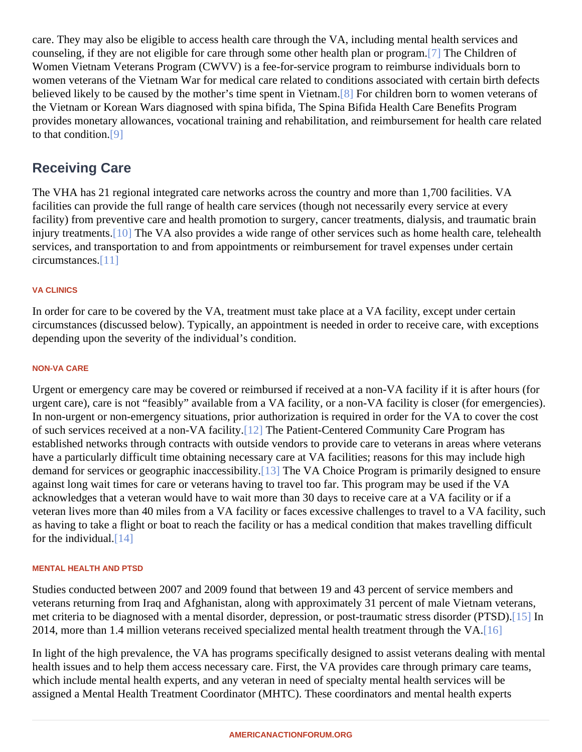care. They may also be eligible to access health care through the VA, including mental health services and counseling, if they are not eligible for care through some other health plan or progreme. Children of Women Vietnam Veterans Program (CWVV) is a fee-for-service program to reimburse individuals born to women veterans of the Vietnam War for medical care related to conditions associated with certain birth defect believed likely to be caused by the mother's time spent in Vietnam children born to women veterans of the Vietnam or Korean Wars diagnosed with spina bifida, The Spina Bifida Health Care Benefits Program provides monetary allowances, vocational training and rehabilitation, and reimbursement for health care relate to that condition<sup>[9]</sup>

## Receiving Care

The VHA has 21 regional integrated care networks across the country and more than 1,700 facilities. VA facilities can provide the full range of health care services (though not necessarily every service at every facility) from preventive care and health promotion to surgery, cancer treatments, dialysis, and traumatic brain injury treatment <sup>10</sup>] The VA also provides a wide range of other services such as home health care, telehealt services, and transportation to and from appointments or reimbursement for travel expenses under certain circumstance<sup>[11]</sup>

### VA CLINICS

In order for care to be covered by the VA, treatment must take place at a VA facility, except under certain circumstances (discussed below). Typically, an appointment is needed in order to receive care, with exception depending upon the severity of the individual's condition.

### NON-VA CARE

Urgent or emergency care may be covered or reimbursed if received at a non-VA facility if it is after hours (for urgent care), care is not "feasibly" available from a VA facility, or a non-VA facility is closer (for emergencies). In non-urgent or non-emergency situations, prior authorization is required in order for the VA to cover the cos of such services received at a non-VA facility. The Patient-Centered Community Care Program has established networks through contracts with outside vendors to provide care to veterans in areas where veter have a particularly difficult time obtaining necessary care at VA facilities; reasons for this may include high demand for services or geographic inaccessibility. The VA Choice Program is primarily designed to ensure against long wait times for care or veterans having to travel too far. This program may be used if the VA acknowledges that a veteran would have to wait more than 30 days to receive care at a VA facility or if a veteran lives more than 40 miles from a VA facility or faces excessive challenges to travel to a VA facility, such as having to take a flight or boat to reach the facility or has a medical condition that makes travelling difficult for the individual  $14$ ]

### MENTAL HEALTH AND PTSD

Studies conducted between 2007 and 2009 found that between 19 and 43 percent of service members and veterans returning from Iraq and Afghanistan, along with approximately 31 percent of male Vietnam veterans, met criteria to be diagnosed with a mental disorder, depression, or post-traumatic stress disorder (PTFSD). 2014, more than 1.4 million veterans received specialized mental health treatment through the VA.

In light of the high prevalence, the VA has programs specifically designed to assist veterans dealing with mer health issues and to help them access necessary care. First, the VA provides care through primary care team which include mental health experts, and any veteran in need of specialty mental health services will be assigned a Mental Health Treatment Coordinator (MHTC). These coordinators and mental health experts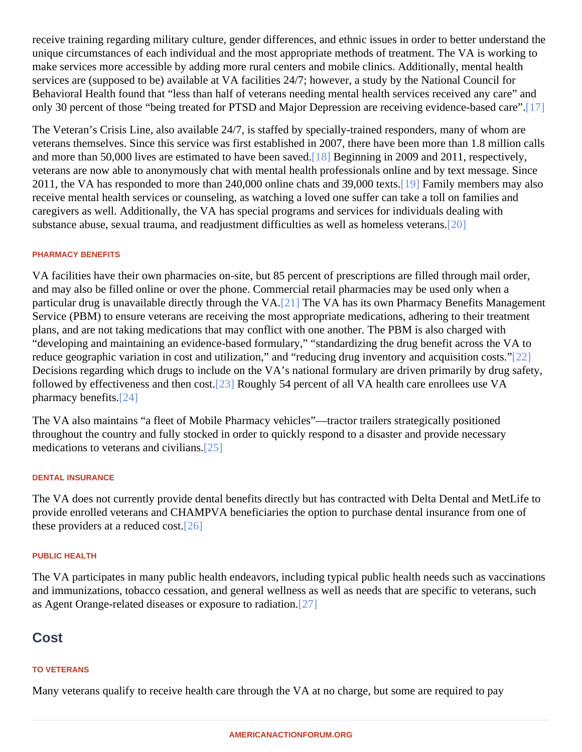receive training regarding military culture, gender differences, and ethnic issues in order to better understand unique circumstances of each individual and the most appropriate methods of treatment. The VA is working to make services more accessible by adding more rural centers and mobile clinics. Additionally, mental health services are (supposed to be) available at VA facilities 24/7; however, a study by the National Council for Behavioral Health found that "less than half of veterans needing mental health services received any care" ar only 30 percent of those "being treated for PTSD and Major Depression are receiving evidence-based care".

The Veteran's Crisis Line, also available 24/7, is staffed by specially-trained responders, many of whom are veterans themselves. Since this service was first established in 2007, there have been more than 1.8 million o and more than 50,000 lives are estimated to have been say examining in 2009 and 2011, respectively, veterans are now able to anonymously chat with mental health professionals online and by text message. Sin 2011, the VA has responded to more than 240,000 online chats and 39,000 textesnily members may also receive mental health services or counseling, as watching a loved one suffer can take a toll on families and caregivers as well. Additionally, the VA has special programs and services for individuals dealing with substance abuse, sexual trauma, and readjustment difficulties as well as homeless  $\mathcal{R}$ eterans.

#### PHARMACY BENEFITS

VA facilities have their own pharmacies on-site, but 85 percent of prescriptions are filled through mail order, and may also be filled online or over the phone. Commercial retail pharmacies may be used only when a particular drug is unavailable directly through the VA. The VA has its own Pharmacy Benefits Management Service (PBM) to ensure veterans are receiving the most appropriate medications, adhering to their treatment plans, and are not taking medications that may conflict with one another. The PBM is also charged with "developing and maintaining an evidence-based formulary," "standardizing the drug benefit across the VA to reduce geographic variation in cost and utilization," and "reducing drug inventory and acquisition 20 ats." Decisions regarding which drugs to include on the VA's national formulary are driven primarily by drug safety, followed by effectiveness and then c**[23]** Roughly 54 percent of all VA health care enrollees use VA pharmacy benefit $[24]$ 

The VA also maintains "a fleet of Mobile Pharmacy vehicles"—tractor trailers strategically positioned throughout the country and fully stocked in order to quickly respond to a disaster and provide necessary medications to veterans and civilia $a$ 5]

### DENTAL INSURANCE

The VA does not currently provide dental benefits directly but has contracted with Delta Dental and MetLife to provide enrolled veterans and CHAMPVA beneficiaries the option to purchase dental insurance from one of these providers at a reduced  $\frac{1}{26}$ .

#### PUBLIC HEALTH

The VA participates in many public health endeavors, including typical public health needs such as vaccination and immunizations, tobacco cessation, and general wellness as well as needs that are specific to veterans, s as Agent Orange-related diseases or exposure to radiation.

**Cost** 

#### TO VETERANS

Many veterans qualify to receive health care through the VA at no charge, but some are required to pay